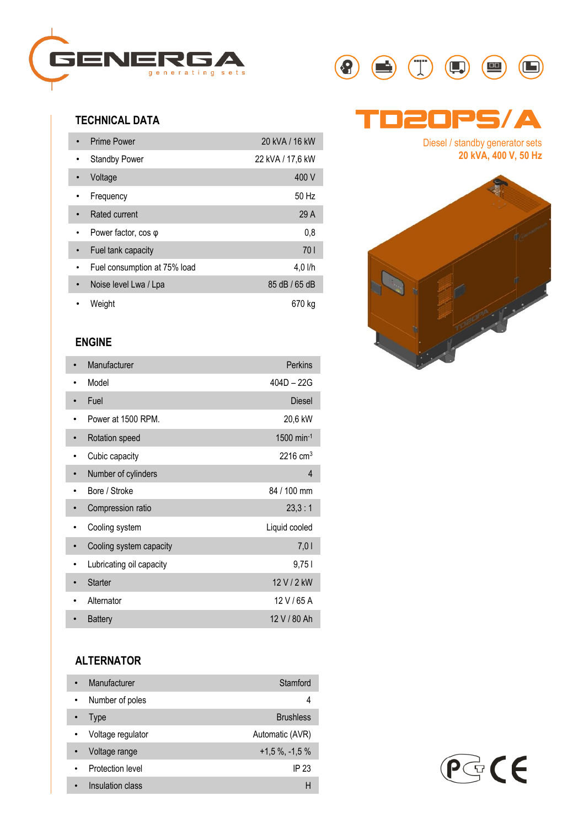

### **TECHNICAL DATA**

| <b>Prime Power</b>                 | 20 kVA / 16 kW   |
|------------------------------------|------------------|
| <b>Standby Power</b><br>٠          | 22 kVA / 17,6 kW |
| Voltage<br>$\bullet$               | 400 V            |
| Frequency                          | 50 Hz            |
| <b>Rated current</b><br>$\bullet$  | 29 A             |
| Power factor, $cos \varphi$<br>٠   | 0,8              |
| Fuel tank capacity<br>۰            | 701              |
| Fuel consumption at 75% load       | 4.0 l/h          |
| Noise level Lwa / Lpa<br>$\bullet$ | 85 dB / 65 dB    |
| Weight                             | 670 kg           |

#### **ENGINE**

| Manufacturer             | Perkins                  |  |
|--------------------------|--------------------------|--|
| Model                    | $404D - 22G$             |  |
| Fuel                     | <b>Diesel</b>            |  |
| Power at 1500 RPM.       | 20,6 kW                  |  |
| Rotation speed           | $1500$ min <sup>-1</sup> |  |
| Cubic capacity           | $2216 \text{ cm}^3$      |  |
| Number of cylinders      | 4                        |  |
| Bore / Stroke            | 84 / 100 mm              |  |
| Compression ratio        | 23.3:1                   |  |
| Cooling system           | Liquid cooled            |  |
| Cooling system capacity  | 7,01                     |  |
| Lubricating oil capacity | 9,751                    |  |
| <b>Starter</b>           | 12 V / 2 kW              |  |
| Alternator               | 12 V / 65 A              |  |
| <b>Battery</b>           | 12 V / 80 Ah             |  |

### **ALTERNATOR**

| Manufacturer      | Stamford            |
|-------------------|---------------------|
| Number of poles   | 4                   |
| Type              | <b>Brushless</b>    |
| Voltage regulator | Automatic (AVR)     |
| Voltage range     | $+1.5\%$ , $-1.5\%$ |
| Protection level  | IP 23               |
| Insulation class  | н                   |



# Td20PS**/**A

Diesel / standby generator sets **20 kVA, 400 V, 50 Hz**